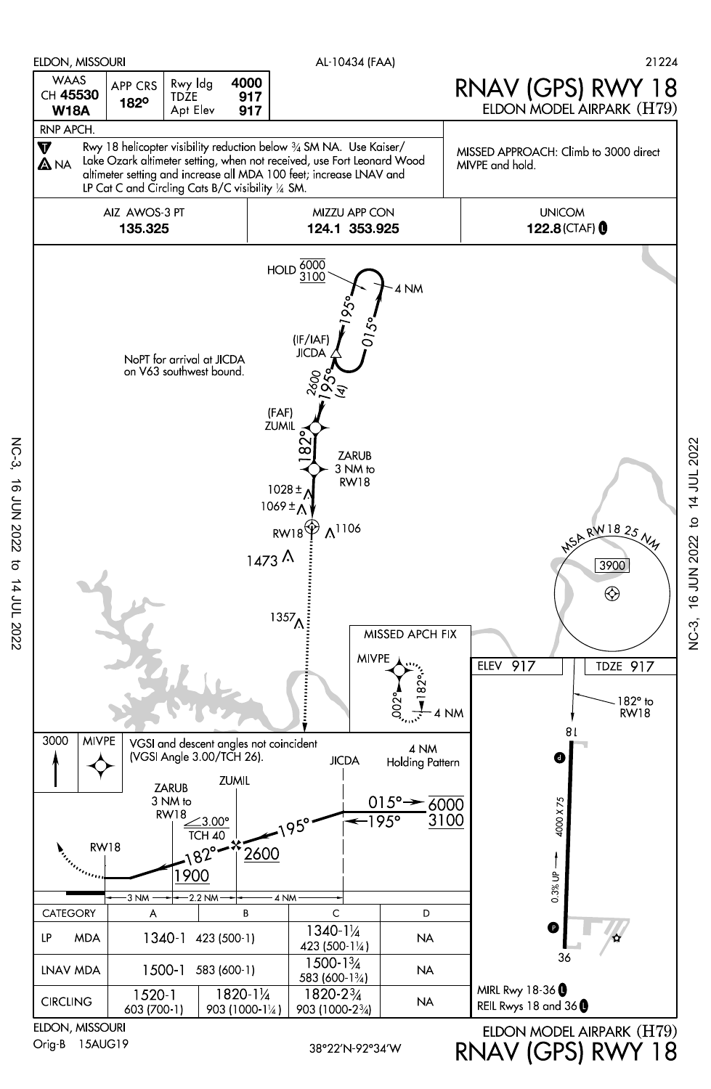

Orig-B 15AUG19

NC-3, 16 JUN 2022 to 14 JUL 2022

 $\sigma$ 

14 JUL 2022

**16 JUN 2022** 

**NC-3** 

NC-3, 16 JUN 2022 to 14 JUL 2022

`<br>پاڻ

16 JUN 2022 to 14 JUL 2022